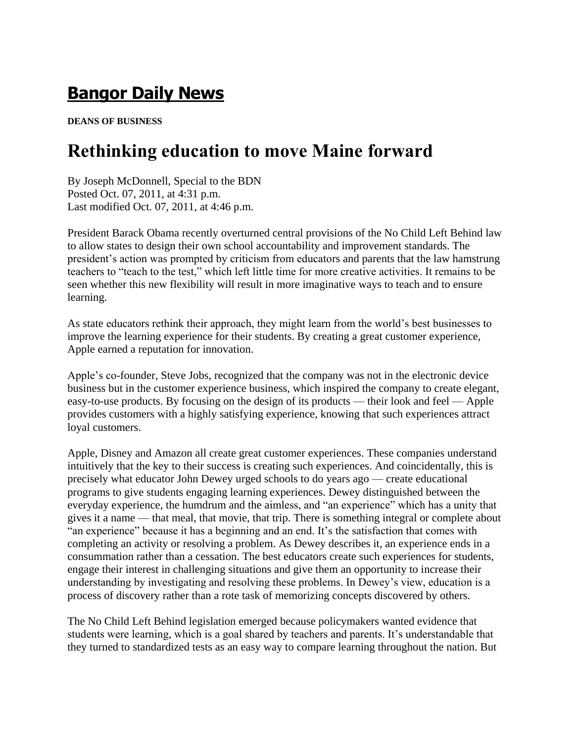## **[Bangor Daily News](http://bangordailynews.com/?ref=masthead_text)**

**DEANS OF BUSINESS**

## **Rethinking education to move Maine forward**

By Joseph McDonnell, Special to the BDN Posted Oct. 07, 2011, at 4:31 p.m. Last modified Oct. 07, 2011, at 4:46 p.m.

President Barack Obama recently overturned central provisions of the No Child Left Behind law to allow states to design their own school accountability and improvement standards. The president's action was prompted by criticism from educators and parents that the law hamstrung teachers to "teach to the test," which left little time for more creative activities. It remains to be seen whether this new flexibility will result in more imaginative ways to teach and to ensure learning.

As state educators rethink their approach, they might learn from the world's best businesses to improve the learning experience for their students. By creating a great customer experience, Apple earned a reputation for innovation.

Apple's co-founder, Steve Jobs, recognized that the company was not in the electronic device business but in the customer experience business, which inspired the company to create elegant, easy-to-use products. By focusing on the design of its products — their look and feel — Apple provides customers with a highly satisfying experience, knowing that such experiences attract loyal customers.

Apple, Disney and Amazon all create great customer experiences. These companies understand intuitively that the key to their success is creating such experiences. And coincidentally, this is precisely what educator John Dewey urged schools to do years ago — create educational programs to give students engaging learning experiences. Dewey distinguished between the everyday experience, the humdrum and the aimless, and "an experience" which has a unity that gives it a name — that meal, that movie, that trip. There is something integral or complete about "an experience" because it has a beginning and an end. It's the satisfaction that comes with completing an activity or resolving a problem. As Dewey describes it, an experience ends in a consummation rather than a cessation. The best educators create such experiences for students, engage their interest in challenging situations and give them an opportunity to increase their understanding by investigating and resolving these problems. In Dewey's view, education is a process of discovery rather than a rote task of memorizing concepts discovered by others.

The No Child Left Behind legislation emerged because policymakers wanted evidence that students were learning, which is a goal shared by teachers and parents. It's understandable that they turned to standardized tests as an easy way to compare learning throughout the nation. But